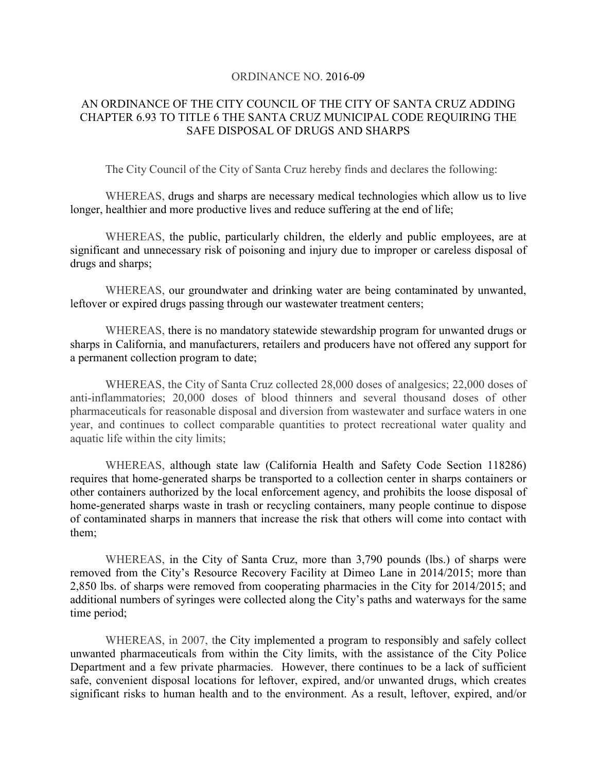#### ORDINANCE NO. 2016-09

### AN ORDINANCE OF THE CITY COUNCIL OF THE CITY OF SANTA CRUZ ADDING CHAPTER 6.93 TO TITLE 6 THE SANTA CRUZ MUNICIPAL CODE REQUIRING THE SAFE DISPOSAL OF DRUGS AND SHARPS

The City Council of the City of Santa Cruz hereby finds and declares the following:

WHEREAS, drugs and sharps are necessary medical technologies which allow us to live longer, healthier and more productive lives and reduce suffering at the end of life;

WHEREAS, the public, particularly children, the elderly and public employees, are at significant and unnecessary risk of poisoning and injury due to improper or careless disposal of drugs and sharps;

WHEREAS, our groundwater and drinking water are being contaminated by unwanted, leftover or expired drugs passing through our wastewater treatment centers;

WHEREAS, there is no mandatory statewide stewardship program for unwanted drugs or sharps in California, and manufacturers, retailers and producers have not offered any support for a permanent collection program to date;

WHEREAS, the City of Santa Cruz collected 28,000 doses of analgesics; 22,000 doses of anti-inflammatories; 20,000 doses of blood thinners and several thousand doses of other pharmaceuticals for reasonable disposal and diversion from wastewater and surface waters in one year, and continues to collect comparable quantities to protect recreational water quality and aquatic life within the city limits;

WHEREAS, although state law (California Health and Safety Code Section 118286) requires that home-generated sharps be transported to a collection center in sharps containers or other containers authorized by the local enforcement agency, and prohibits the loose disposal of home-generated sharps waste in trash or recycling containers, many people continue to dispose of contaminated sharps in manners that increase the risk that others will come into contact with them;

WHEREAS, in the City of Santa Cruz, more than 3,790 pounds (lbs.) of sharps were removed from the City's Resource Recovery Facility at Dimeo Lane in 2014/2015; more than 2,850 lbs. of sharps were removed from cooperating pharmacies in the City for 2014/2015; and additional numbers of syringes were collected along the City's paths and waterways for the same time period;

WHEREAS, in 2007, the City implemented a program to responsibly and safely collect unwanted pharmaceuticals from within the City limits, with the assistance of the City Police Department and a few private pharmacies. However, there continues to be a lack of sufficient safe, convenient disposal locations for leftover, expired, and/or unwanted drugs, which creates significant risks to human health and to the environment. As a result, leftover, expired, and/or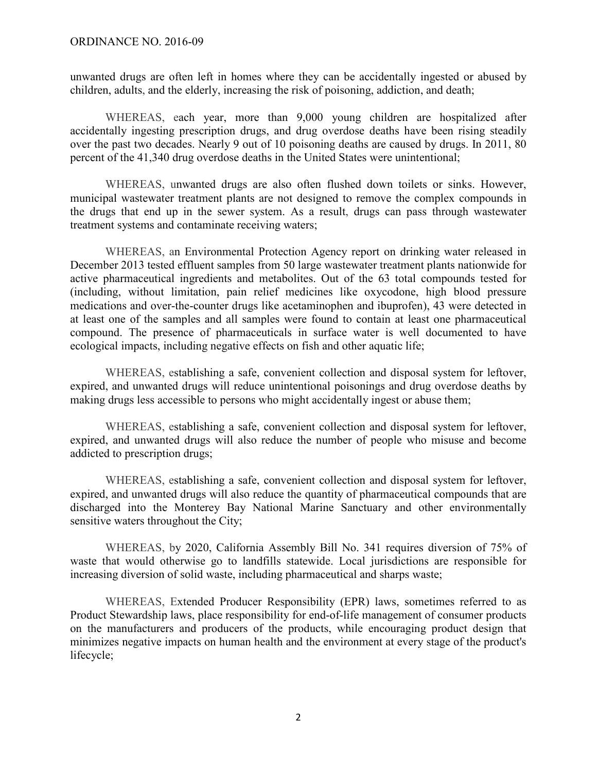unwanted drugs are often left in homes where they can be accidentally ingested or abused by children, adults, and the elderly, increasing the risk of poisoning, addiction, and death;

WHEREAS, each year, more than 9,000 young children are hospitalized after accidentally ingesting prescription drugs, and drug overdose deaths have been rising steadily over the past two decades. Nearly 9 out of 10 poisoning deaths are caused by drugs. In 2011, 80 percent of the 41,340 drug overdose deaths in the United States were unintentional;

WHEREAS, unwanted drugs are also often flushed down toilets or sinks. However, municipal wastewater treatment plants are not designed to remove the complex compounds in the drugs that end up in the sewer system. As a result, drugs can pass through wastewater treatment systems and contaminate receiving waters;

WHEREAS, an Environmental Protection Agency report on drinking water released in December 2013 tested effluent samples from 50 large wastewater treatment plants nationwide for active pharmaceutical ingredients and metabolites. Out of the 63 total compounds tested for (including, without limitation, pain relief medicines like oxycodone, high blood pressure medications and over-the-counter drugs like acetaminophen and ibuprofen), 43 were detected in at least one of the samples and all samples were found to contain at least one pharmaceutical compound. The presence of pharmaceuticals in surface water is well documented to have ecological impacts, including negative effects on fish and other aquatic life;

WHEREAS, establishing a safe, convenient collection and disposal system for leftover, expired, and unwanted drugs will reduce unintentional poisonings and drug overdose deaths by making drugs less accessible to persons who might accidentally ingest or abuse them;

WHEREAS, establishing a safe, convenient collection and disposal system for leftover, expired, and unwanted drugs will also reduce the number of people who misuse and become addicted to prescription drugs;

WHEREAS, establishing a safe, convenient collection and disposal system for leftover, expired, and unwanted drugs will also reduce the quantity of pharmaceutical compounds that are discharged into the Monterey Bay National Marine Sanctuary and other environmentally sensitive waters throughout the City;

WHEREAS, by 2020, California Assembly Bill No. 341 requires diversion of 75% of waste that would otherwise go to landfills statewide. Local jurisdictions are responsible for increasing diversion of solid waste, including pharmaceutical and sharps waste;

WHEREAS, Extended Producer Responsibility (EPR) laws, sometimes referred to as Product Stewardship laws, place responsibility for end-of-life management of consumer products on the manufacturers and producers of the products, while encouraging product design that minimizes negative impacts on human health and the environment at every stage of the product's lifecycle;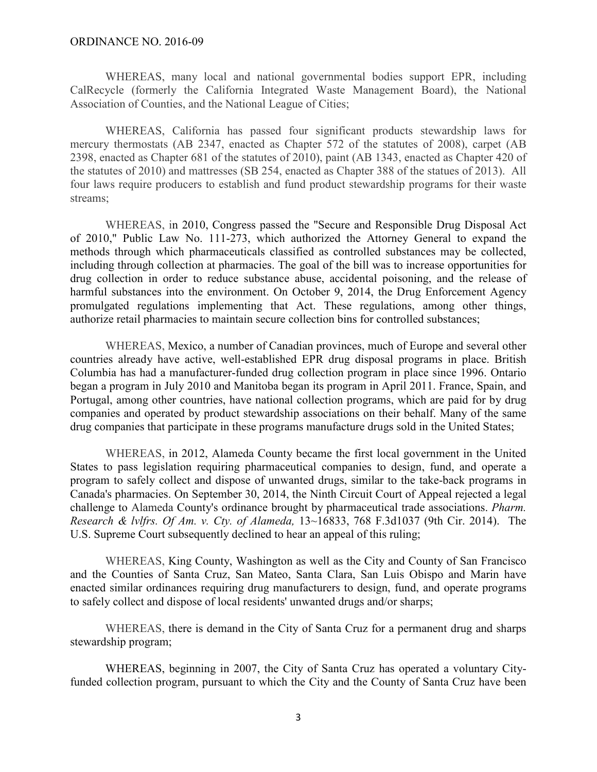#### ORDINANCE NO. 2016-09

WHEREAS, many local and national governmental bodies support EPR, including CalRecycle (formerly the California Integrated Waste Management Board), the National Association of Counties, and the National League of Cities;

WHEREAS, California has passed four significant products stewardship laws for mercury thermostats (AB 2347, enacted as Chapter 572 of the statutes of 2008), carpet (AB 2398, enacted as Chapter 681 of the statutes of 2010), paint (AB 1343, enacted as Chapter 420 of the statutes of 2010) and mattresses (SB 254, enacted as Chapter 388 of the statues of 2013). All four laws require producers to establish and fund product stewardship programs for their waste streams;

WHEREAS, in 2010, Congress passed the "Secure and Responsible Drug Disposal Act of 2010," Public Law No. 111-273, which authorized the Attorney General to expand the methods through which pharmaceuticals classified as controlled substances may be collected, including through collection at pharmacies. The goal of the bill was to increase opportunities for drug collection in order to reduce substance abuse, accidental poisoning, and the release of harmful substances into the environment. On October 9, 2014, the Drug Enforcement Agency promulgated regulations implementing that Act. These regulations, among other things, authorize retail pharmacies to maintain secure collection bins for controlled substances;

WHEREAS, Mexico, a number of Canadian provinces, much of Europe and several other countries already have active, well-established EPR drug disposal programs in place. British Columbia has had a manufacturer-funded drug collection program in place since 1996. Ontario began a program in July 2010 and Manitoba began its program in April 2011. France, Spain, and Portugal, among other countries, have national collection programs, which are paid for by drug companies and operated by product stewardship associations on their behalf. Many of the same drug companies that participate in these programs manufacture drugs sold in the United States;

WHEREAS, in 2012, Alameda County became the first local government in the United States to pass legislation requiring pharmaceutical companies to design, fund, and operate a program to safely collect and dispose of unwanted drugs, similar to the take-back programs in Canada's pharmacies. On September 30, 2014, the Ninth Circuit Court of Appeal rejected a legal challenge to Alameda County's ordinance brought by pharmaceutical trade associations. *Pharm. Research & lvlfrs. Of Am. v. Cty. of Alameda,* 13~16833, 768 F.3d1037 (9th Cir. 2014). The U.S. Supreme Court subsequently declined to hear an appeal of this ruling;

WHEREAS, King County, Washington as well as the City and County of San Francisco and the Counties of Santa Cruz, San Mateo, Santa Clara, San Luis Obispo and Marin have enacted similar ordinances requiring drug manufacturers to design, fund, and operate programs to safely collect and dispose of local residents' unwanted drugs and/or sharps;

WHEREAS, there is demand in the City of Santa Cruz for a permanent drug and sharps stewardship program;

WHEREAS, beginning in 2007, the City of Santa Cruz has operated a voluntary Cityfunded collection program, pursuant to which the City and the County of Santa Cruz have been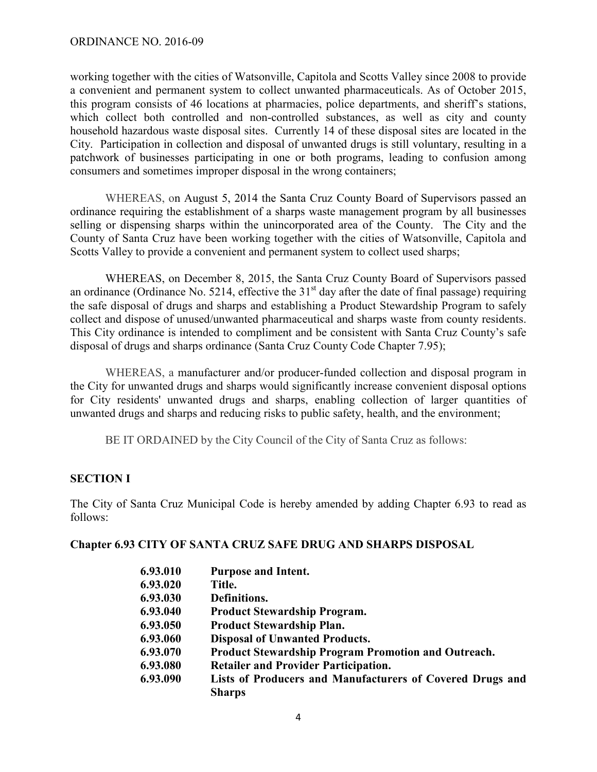working together with the cities of Watsonville, Capitola and Scotts Valley since 2008 to provide a convenient and permanent system to collect unwanted pharmaceuticals. As of October 2015, this program consists of 46 locations at pharmacies, police departments, and sheriff's stations, which collect both controlled and non-controlled substances, as well as city and county household hazardous waste disposal sites. Currently 14 of these disposal sites are located in the City. Participation in collection and disposal of unwanted drugs is still voluntary, resulting in a patchwork of businesses participating in one or both programs, leading to confusion among consumers and sometimes improper disposal in the wrong containers;

WHEREAS, on August 5, 2014 the Santa Cruz County Board of Supervisors passed an ordinance requiring the establishment of a sharps waste management program by all businesses selling or dispensing sharps within the unincorporated area of the County. The City and the County of Santa Cruz have been working together with the cities of Watsonville, Capitola and Scotts Valley to provide a convenient and permanent system to collect used sharps;

WHEREAS, on December 8, 2015, the Santa Cruz County Board of Supervisors passed an ordinance (Ordinance No. 5214, effective the  $31<sup>st</sup>$  day after the date of final passage) requiring the safe disposal of drugs and sharps and establishing a Product Stewardship Program to safely collect and dispose of unused/unwanted pharmaceutical and sharps waste from county residents. This City ordinance is intended to compliment and be consistent with Santa Cruz County's safe disposal of drugs and sharps ordinance (Santa Cruz County Code Chapter 7.95);

WHEREAS, a manufacturer and/or producer-funded collection and disposal program in the City for unwanted drugs and sharps would significantly increase convenient disposal options for City residents' unwanted drugs and sharps, enabling collection of larger quantities of unwanted drugs and sharps and reducing risks to public safety, health, and the environment;

BE IT ORDAINED by the City Council of the City of Santa Cruz as follows:

## **SECTION I**

The City of Santa Cruz Municipal Code is hereby amended by adding Chapter 6.93 to read as follows:

### **Chapter 6.93 CITY OF SANTA CRUZ SAFE DRUG AND SHARPS DISPOSAL**

| 6.93.010 | <b>Purpose and Intent.</b>                                |
|----------|-----------------------------------------------------------|
| 6.93.020 | Title.                                                    |
| 6.93.030 | Definitions.                                              |
| 6.93.040 | <b>Product Stewardship Program.</b>                       |
| 6.93.050 | <b>Product Stewardship Plan.</b>                          |
| 6.93.060 | <b>Disposal of Unwanted Products.</b>                     |
| 6.93.070 | Product Stewardship Program Promotion and Outreach.       |
| 6.93.080 | <b>Retailer and Provider Participation.</b>               |
| 6.93.090 | Lists of Producers and Manufacturers of Covered Drugs and |
|          | <b>Sharps</b>                                             |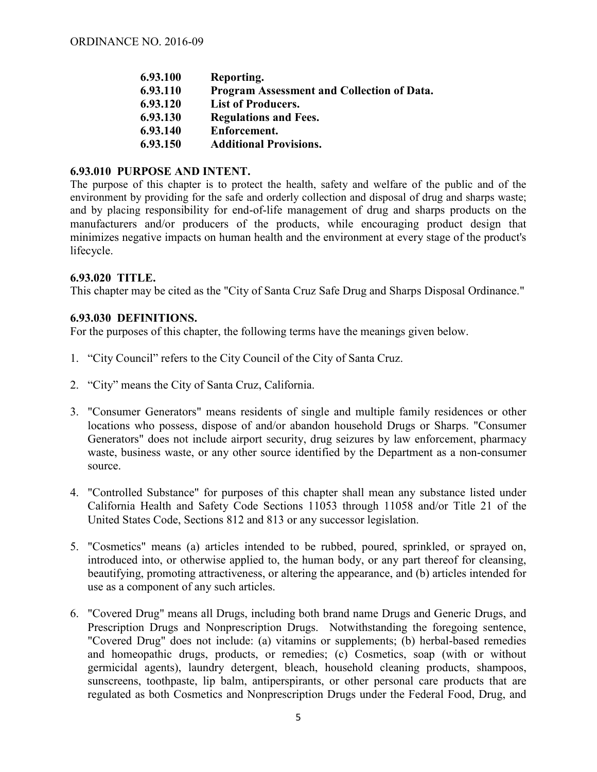| 6.93.100 | Reporting.                                        |
|----------|---------------------------------------------------|
| 6.93.110 | <b>Program Assessment and Collection of Data.</b> |
| 6.93.120 | <b>List of Producers.</b>                         |
| 6.93.130 | <b>Regulations and Fees.</b>                      |
| 6.93.140 | Enforcement.                                      |
| 6.93.150 | <b>Additional Provisions.</b>                     |
|          |                                                   |

### **6.93.010 PURPOSE AND INTENT.**

The purpose of this chapter is to protect the health, safety and welfare of the public and of the environment by providing for the safe and orderly collection and disposal of drug and sharps waste; and by placing responsibility for end-of-life management of drug and sharps products on the manufacturers and/or producers of the products, while encouraging product design that minimizes negative impacts on human health and the environment at every stage of the product's lifecycle.

#### **6.93.020 TITLE.**

This chapter may be cited as the "City of Santa Cruz Safe Drug and Sharps Disposal Ordinance."

#### **6.93.030 DEFINITIONS.**

For the purposes of this chapter, the following terms have the meanings given below.

- 1. "City Council" refers to the City Council of the City of Santa Cruz.
- 2. "City" means the City of Santa Cruz, California.
- 3. "Consumer Generators" means residents of single and multiple family residences or other locations who possess, dispose of and/or abandon household Drugs or Sharps. "Consumer Generators" does not include airport security, drug seizures by law enforcement, pharmacy waste, business waste, or any other source identified by the Department as a non-consumer source.
- 4. "Controlled Substance" for purposes of this chapter shall mean any substance listed under California Health and Safety Code Sections 11053 through 11058 and/or Title 21 of the United States Code, Sections 812 and 813 or any successor legislation.
- 5. "Cosmetics" means (a) articles intended to be rubbed, poured, sprinkled, or sprayed on, introduced into, or otherwise applied to, the human body, or any part thereof for cleansing, beautifying, promoting attractiveness, or altering the appearance, and (b) articles intended for use as a component of any such articles.
- 6. "Covered Drug" means all Drugs, including both brand name Drugs and Generic Drugs, and Prescription Drugs and Nonprescription Drugs. Notwithstanding the foregoing sentence, "Covered Drug" does not include: (a) vitamins or supplements; (b) herbal-based remedies and homeopathic drugs, products, or remedies; (c) Cosmetics, soap (with or without germicidal agents), laundry detergent, bleach, household cleaning products, shampoos, sunscreens, toothpaste, lip balm, antiperspirants, or other personal care products that are regulated as both Cosmetics and Nonprescription Drugs under the Federal Food, Drug, and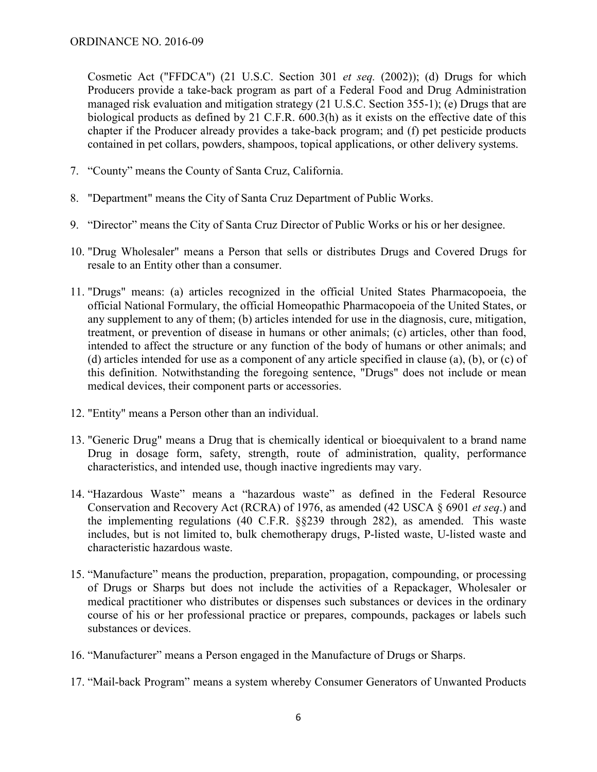Cosmetic Act ("FFDCA") (21 U.S.C. Section 301 *et seq.* (2002)); (d) Drugs for which Producers provide a take-back program as part of a Federal Food and Drug Administration managed risk evaluation and mitigation strategy (21 U.S.C. Section 355-1); (e) Drugs that are biological products as defined by 21 C.F.R. 600.3(h) as it exists on the effective date of this chapter if the Producer already provides a take-back program; and (f) pet pesticide products contained in pet collars, powders, shampoos, topical applications, or other delivery systems.

- 7. "County" means the County of Santa Cruz, California.
- 8. "Department" means the City of Santa Cruz Department of Public Works.
- 9. "Director" means the City of Santa Cruz Director of Public Works or his or her designee.
- 10. "Drug Wholesaler" means a Person that sells or distributes Drugs and Covered Drugs for resale to an Entity other than a consumer.
- 11. "Drugs" means: (a) articles recognized in the official United States Pharmacopoeia, the official National Formulary, the official Homeopathic Pharmacopoeia of the United States, or any supplement to any of them; (b) articles intended for use in the diagnosis, cure, mitigation, treatment, or prevention of disease in humans or other animals; (c) articles, other than food, intended to affect the structure or any function of the body of humans or other animals; and (d) articles intended for use as a component of any article specified in clause (a), (b), or (c) of this definition. Notwithstanding the foregoing sentence, "Drugs" does not include or mean medical devices, their component parts or accessories.
- 12. "Entity" means a Person other than an individual.
- 13. "Generic Drug" means a Drug that is chemically identical or bioequivalent to a brand name Drug in dosage form, safety, strength, route of administration, quality, performance characteristics, and intended use, though inactive ingredients may vary.
- 14. "Hazardous Waste" means a "hazardous waste" as defined in the Federal Resource Conservation and Recovery Act (RCRA) of 1976, as amended (42 USCA § 6901 *et seq*.) and the implementing regulations (40 C.F.R. §§239 through 282), as amended. This waste includes, but is not limited to, bulk chemotherapy drugs, P-listed waste, U-listed waste and characteristic hazardous waste.
- 15. "Manufacture" means the production, preparation, propagation, compounding, or processing of Drugs or Sharps but does not include the activities of a Repackager, Wholesaler or medical practitioner who distributes or dispenses such substances or devices in the ordinary course of his or her professional practice or prepares, compounds, packages or labels such substances or devices.
- 16. "Manufacturer" means a Person engaged in the Manufacture of Drugs or Sharps.
- 17. "Mail-back Program" means a system whereby Consumer Generators of Unwanted Products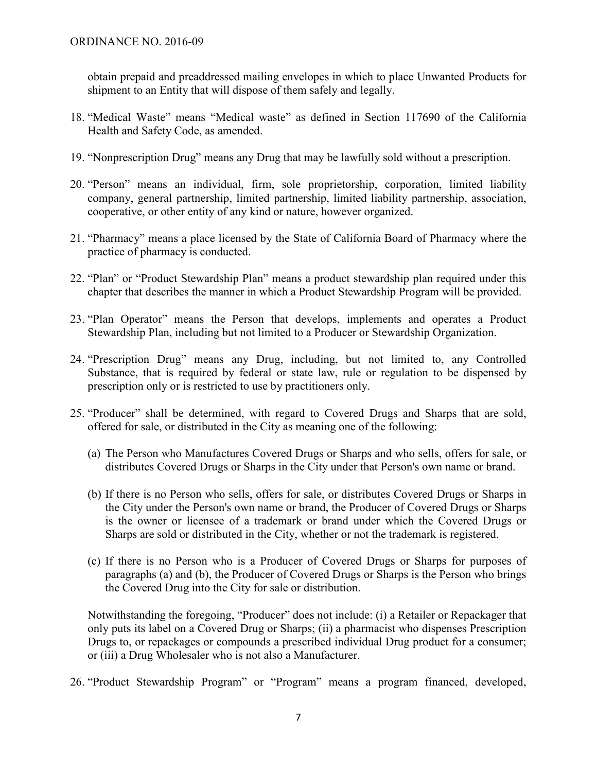obtain prepaid and preaddressed mailing envelopes in which to place Unwanted Products for shipment to an Entity that will dispose of them safely and legally.

- 18. "Medical Waste" means "Medical waste" as defined in Section 117690 of the California Health and Safety Code, as amended.
- 19. "Nonprescription Drug" means any Drug that may be lawfully sold without a prescription.
- 20. "Person" means an individual, firm, sole proprietorship, corporation, limited liability company, general partnership, limited partnership, limited liability partnership, association, cooperative, or other entity of any kind or nature, however organized.
- 21. "Pharmacy" means a place licensed by the State of California Board of Pharmacy where the practice of pharmacy is conducted.
- 22. "Plan" or "Product Stewardship Plan" means a product stewardship plan required under this chapter that describes the manner in which a Product Stewardship Program will be provided.
- 23. "Plan Operator" means the Person that develops, implements and operates a Product Stewardship Plan, including but not limited to a Producer or Stewardship Organization.
- 24. "Prescription Drug" means any Drug, including, but not limited to, any Controlled Substance, that is required by federal or state law, rule or regulation to be dispensed by prescription only or is restricted to use by practitioners only.
- 25. "Producer" shall be determined, with regard to Covered Drugs and Sharps that are sold, offered for sale, or distributed in the City as meaning one of the following:
	- (a) The Person who Manufactures Covered Drugs or Sharps and who sells, offers for sale, or distributes Covered Drugs or Sharps in the City under that Person's own name or brand.
	- (b) If there is no Person who sells, offers for sale, or distributes Covered Drugs or Sharps in the City under the Person's own name or brand, the Producer of Covered Drugs or Sharps is the owner or licensee of a trademark or brand under which the Covered Drugs or Sharps are sold or distributed in the City, whether or not the trademark is registered.
	- (c) If there is no Person who is a Producer of Covered Drugs or Sharps for purposes of paragraphs (a) and (b), the Producer of Covered Drugs or Sharps is the Person who brings the Covered Drug into the City for sale or distribution.

Notwithstanding the foregoing, "Producer" does not include: (i) a Retailer or Repackager that only puts its label on a Covered Drug or Sharps; (ii) a pharmacist who dispenses Prescription Drugs to, or repackages or compounds a prescribed individual Drug product for a consumer; or (iii) a Drug Wholesaler who is not also a Manufacturer.

26. "Product Stewardship Program" or "Program" means a program financed, developed,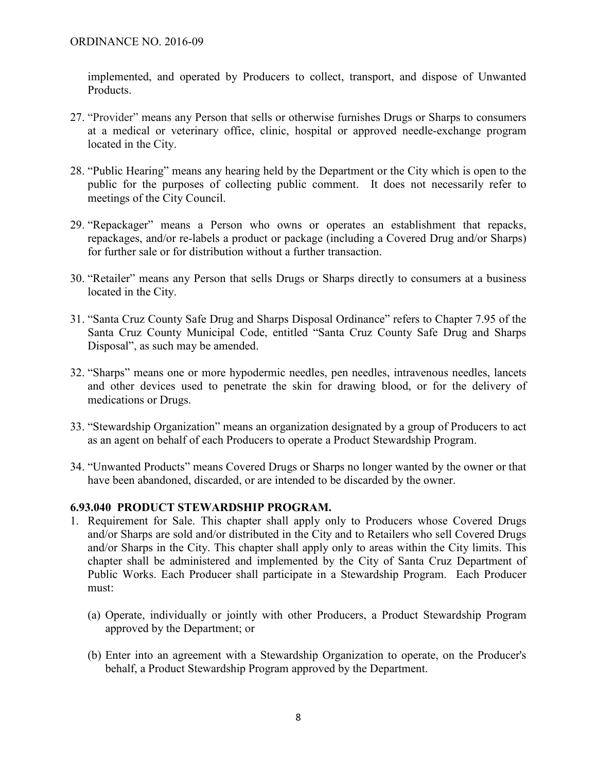implemented, and operated by Producers to collect, transport, and dispose of Unwanted Products.

- 27. "Provider" means any Person that sells or otherwise furnishes Drugs or Sharps to consumers at a medical or veterinary office, clinic, hospital or approved needle-exchange program located in the City.
- 28. "Public Hearing" means any hearing held by the Department or the City which is open to the public for the purposes of collecting public comment. It does not necessarily refer to meetings of the City Council.
- 29. "Repackager" means a Person who owns or operates an establishment that repacks, repackages, and/or re-labels a product or package (including a Covered Drug and/or Sharps) for further sale or for distribution without a further transaction.
- 30. "Retailer" means any Person that sells Drugs or Sharps directly to consumers at a business located in the City.
- 31. "Santa Cruz County Safe Drug and Sharps Disposal Ordinance" refers to Chapter 7.95 of the Santa Cruz County Municipal Code, entitled "Santa Cruz County Safe Drug and Sharps Disposal", as such may be amended.
- 32. "Sharps" means one or more hypodermic needles, pen needles, intravenous needles, lancets and other devices used to penetrate the skin for drawing blood, or for the delivery of medications or Drugs.
- 33. "Stewardship Organization" means an organization designated by a group of Producers to act as an agent on behalf of each Producers to operate a Product Stewardship Program.
- 34. "Unwanted Products" means Covered Drugs or Sharps no longer wanted by the owner or that have been abandoned, discarded, or are intended to be discarded by the owner.

## **6.93.040 PRODUCT STEWARDSHIP PROGRAM.**

- 1. Requirement for Sale. This chapter shall apply only to Producers whose Covered Drugs and/or Sharps are sold and/or distributed in the City and to Retailers who sell Covered Drugs and/or Sharps in the City. This chapter shall apply only to areas within the City limits. This chapter shall be administered and implemented by the City of Santa Cruz Department of Public Works. Each Producer shall participate in a Stewardship Program. Each Producer must:
	- (a) Operate, individually or jointly with other Producers, a Product Stewardship Program approved by the Department; or
	- (b) Enter into an agreement with a Stewardship Organization to operate, on the Producer's behalf, a Product Stewardship Program approved by the Department.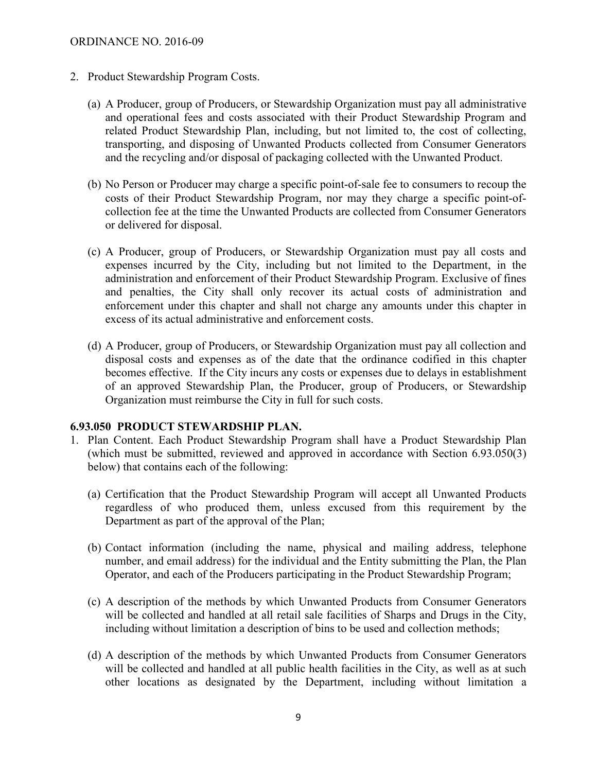- 2. Product Stewardship Program Costs.
	- (a) A Producer, group of Producers, or Stewardship Organization must pay all administrative and operational fees and costs associated with their Product Stewardship Program and related Product Stewardship Plan, including, but not limited to, the cost of collecting, transporting, and disposing of Unwanted Products collected from Consumer Generators and the recycling and/or disposal of packaging collected with the Unwanted Product.
	- (b) No Person or Producer may charge a specific point-of-sale fee to consumers to recoup the costs of their Product Stewardship Program, nor may they charge a specific point-ofcollection fee at the time the Unwanted Products are collected from Consumer Generators or delivered for disposal.
	- (c) A Producer, group of Producers, or Stewardship Organization must pay all costs and expenses incurred by the City, including but not limited to the Department, in the administration and enforcement of their Product Stewardship Program. Exclusive of fines and penalties, the City shall only recover its actual costs of administration and enforcement under this chapter and shall not charge any amounts under this chapter in excess of its actual administrative and enforcement costs.
	- (d) A Producer, group of Producers, or Stewardship Organization must pay all collection and disposal costs and expenses as of the date that the ordinance codified in this chapter becomes effective. If the City incurs any costs or expenses due to delays in establishment of an approved Stewardship Plan, the Producer, group of Producers, or Stewardship Organization must reimburse the City in full for such costs.

#### **6.93.050 PRODUCT STEWARDSHIP PLAN.**

- 1. Plan Content. Each Product Stewardship Program shall have a Product Stewardship Plan (which must be submitted, reviewed and approved in accordance with Section 6.93.050(3) below) that contains each of the following:
	- (a) Certification that the Product Stewardship Program will accept all Unwanted Products regardless of who produced them, unless excused from this requirement by the Department as part of the approval of the Plan;
	- (b) Contact information (including the name, physical and mailing address, telephone number, and email address) for the individual and the Entity submitting the Plan, the Plan Operator, and each of the Producers participating in the Product Stewardship Program;
	- (c) A description of the methods by which Unwanted Products from Consumer Generators will be collected and handled at all retail sale facilities of Sharps and Drugs in the City, including without limitation a description of bins to be used and collection methods;
	- (d) A description of the methods by which Unwanted Products from Consumer Generators will be collected and handled at all public health facilities in the City, as well as at such other locations as designated by the Department, including without limitation a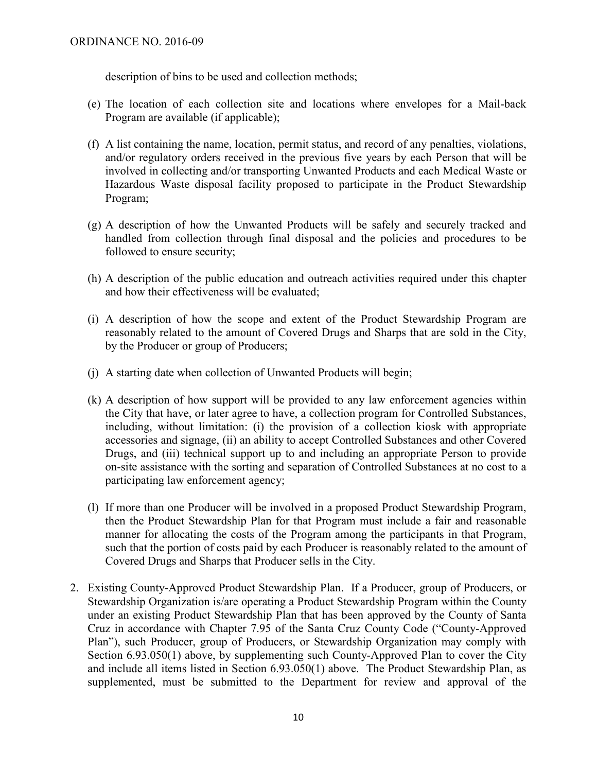description of bins to be used and collection methods;

- (e) The location of each collection site and locations where envelopes for a Mail-back Program are available (if applicable);
- (f) A list containing the name, location, permit status, and record of any penalties, violations, and/or regulatory orders received in the previous five years by each Person that will be involved in collecting and/or transporting Unwanted Products and each Medical Waste or Hazardous Waste disposal facility proposed to participate in the Product Stewardship Program;
- (g) A description of how the Unwanted Products will be safely and securely tracked and handled from collection through final disposal and the policies and procedures to be followed to ensure security;
- (h) A description of the public education and outreach activities required under this chapter and how their effectiveness will be evaluated;
- (i) A description of how the scope and extent of the Product Stewardship Program are reasonably related to the amount of Covered Drugs and Sharps that are sold in the City, by the Producer or group of Producers;
- (j) A starting date when collection of Unwanted Products will begin;
- (k) A description of how support will be provided to any law enforcement agencies within the City that have, or later agree to have, a collection program for Controlled Substances, including, without limitation: (i) the provision of a collection kiosk with appropriate accessories and signage, (ii) an ability to accept Controlled Substances and other Covered Drugs, and (iii) technical support up to and including an appropriate Person to provide on-site assistance with the sorting and separation of Controlled Substances at no cost to a participating law enforcement agency;
- (l) If more than one Producer will be involved in a proposed Product Stewardship Program, then the Product Stewardship Plan for that Program must include a fair and reasonable manner for allocating the costs of the Program among the participants in that Program, such that the portion of costs paid by each Producer is reasonably related to the amount of Covered Drugs and Sharps that Producer sells in the City.
- 2. Existing County-Approved Product Stewardship Plan. If a Producer, group of Producers, or Stewardship Organization is/are operating a Product Stewardship Program within the County under an existing Product Stewardship Plan that has been approved by the County of Santa Cruz in accordance with Chapter 7.95 of the Santa Cruz County Code ("County-Approved Plan"), such Producer, group of Producers, or Stewardship Organization may comply with Section 6.93.050(1) above, by supplementing such County-Approved Plan to cover the City and include all items listed in Section 6.93.050(1) above. The Product Stewardship Plan, as supplemented, must be submitted to the Department for review and approval of the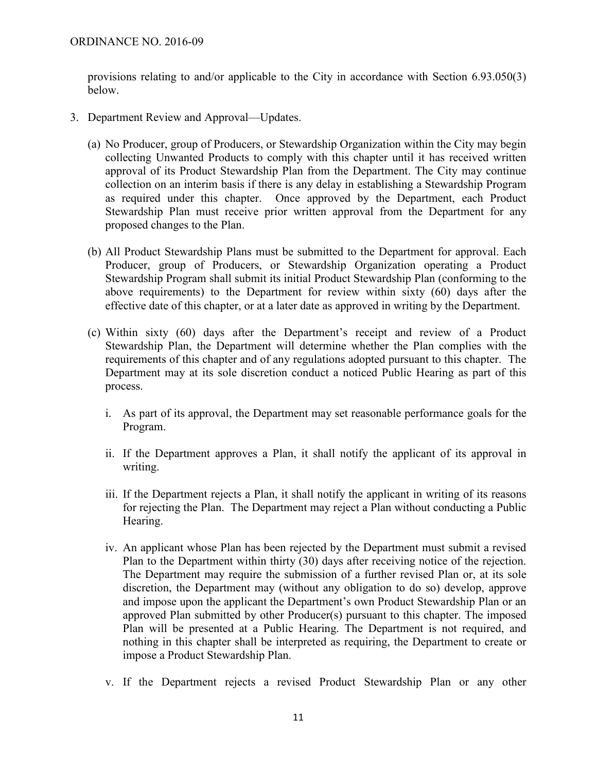provisions relating to and/or applicable to the City in accordance with Section 6.93.050(3) below.

- 3. Department Review and Approval—Updates.
	- (a) No Producer, group of Producers, or Stewardship Organization within the City may begin collecting Unwanted Products to comply with this chapter until it has received written approval of its Product Stewardship Plan from the Department. The City may continue collection on an interim basis if there is any delay in establishing a Stewardship Program as required under this chapter. Once approved by the Department, each Product Stewardship Plan must receive prior written approval from the Department for any proposed changes to the Plan.
	- (b) All Product Stewardship Plans must be submitted to the Department for approval. Each Producer, group of Producers, or Stewardship Organization operating a Product Stewardship Program shall submit its initial Product Stewardship Plan (conforming to the above requirements) to the Department for review within sixty (60) days after the effective date of this chapter, or at a later date as approved in writing by the Department.
	- (c) Within sixty (60) days after the Department's receipt and review of a Product Stewardship Plan, the Department will determine whether the Plan complies with the requirements of this chapter and of any regulations adopted pursuant to this chapter. The Department may at its sole discretion conduct a noticed Public Hearing as part of this process.
		- i. As part of its approval, the Department may set reasonable performance goals for the Program.
		- ii. If the Department approves a Plan, it shall notify the applicant of its approval in writing.
		- iii. If the Department rejects a Plan, it shall notify the applicant in writing of its reasons for rejecting the Plan. The Department may reject a Plan without conducting a Public Hearing.
		- iv. An applicant whose Plan has been rejected by the Department must submit a revised Plan to the Department within thirty (30) days after receiving notice of the rejection. The Department may require the submission of a further revised Plan or, at its sole discretion, the Department may (without any obligation to do so) develop, approve and impose upon the applicant the Department's own Product Stewardship Plan or an approved Plan submitted by other Producer(s) pursuant to this chapter. The imposed Plan will be presented at a Public Hearing. The Department is not required, and nothing in this chapter shall be interpreted as requiring, the Department to create or impose a Product Stewardship Plan.
		- v. If the Department rejects a revised Product Stewardship Plan or any other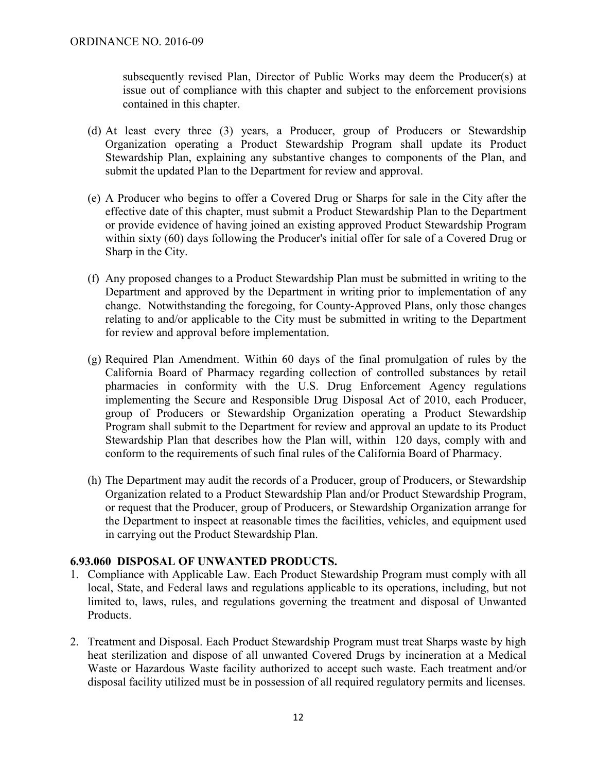subsequently revised Plan, Director of Public Works may deem the Producer(s) at issue out of compliance with this chapter and subject to the enforcement provisions contained in this chapter.

- (d) At least every three (3) years, a Producer, group of Producers or Stewardship Organization operating a Product Stewardship Program shall update its Product Stewardship Plan, explaining any substantive changes to components of the Plan, and submit the updated Plan to the Department for review and approval.
- (e) A Producer who begins to offer a Covered Drug or Sharps for sale in the City after the effective date of this chapter, must submit a Product Stewardship Plan to the Department or provide evidence of having joined an existing approved Product Stewardship Program within sixty (60) days following the Producer's initial offer for sale of a Covered Drug or Sharp in the City.
- (f) Any proposed changes to a Product Stewardship Plan must be submitted in writing to the Department and approved by the Department in writing prior to implementation of any change. Notwithstanding the foregoing, for County-Approved Plans, only those changes relating to and/or applicable to the City must be submitted in writing to the Department for review and approval before implementation.
- (g) Required Plan Amendment. Within 60 days of the final promulgation of rules by the California Board of Pharmacy regarding collection of controlled substances by retail pharmacies in conformity with the U.S. Drug Enforcement Agency regulations implementing the Secure and Responsible Drug Disposal Act of 2010, each Producer, group of Producers or Stewardship Organization operating a Product Stewardship Program shall submit to the Department for review and approval an update to its Product Stewardship Plan that describes how the Plan will, within 120 days, comply with and conform to the requirements of such final rules of the California Board of Pharmacy.
- (h) The Department may audit the records of a Producer, group of Producers, or Stewardship Organization related to a Product Stewardship Plan and/or Product Stewardship Program, or request that the Producer, group of Producers, or Stewardship Organization arrange for the Department to inspect at reasonable times the facilities, vehicles, and equipment used in carrying out the Product Stewardship Plan.

## **6.93.060 DISPOSAL OF UNWANTED PRODUCTS.**

- 1. Compliance with Applicable Law. Each Product Stewardship Program must comply with all local, State, and Federal laws and regulations applicable to its operations, including, but not limited to, laws, rules, and regulations governing the treatment and disposal of Unwanted Products.
- 2. Treatment and Disposal. Each Product Stewardship Program must treat Sharps waste by high heat sterilization and dispose of all unwanted Covered Drugs by incineration at a Medical Waste or Hazardous Waste facility authorized to accept such waste. Each treatment and/or disposal facility utilized must be in possession of all required regulatory permits and licenses.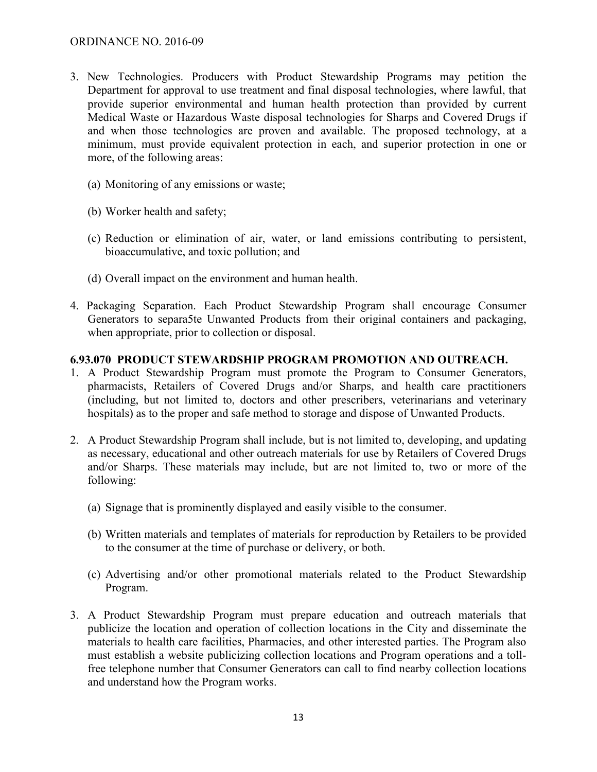- 3. New Technologies. Producers with Product Stewardship Programs may petition the Department for approval to use treatment and final disposal technologies, where lawful, that provide superior environmental and human health protection than provided by current Medical Waste or Hazardous Waste disposal technologies for Sharps and Covered Drugs if and when those technologies are proven and available. The proposed technology, at a minimum, must provide equivalent protection in each, and superior protection in one or more, of the following areas:
	- (a) Monitoring of any emissions or waste;
	- (b) Worker health and safety;
	- (c) Reduction or elimination of air, water, or land emissions contributing to persistent, bioaccumulative, and toxic pollution; and
	- (d) Overall impact on the environment and human health.
- 4. Packaging Separation. Each Product Stewardship Program shall encourage Consumer Generators to separa5te Unwanted Products from their original containers and packaging, when appropriate, prior to collection or disposal.

#### **6.93.070 PRODUCT STEWARDSHIP PROGRAM PROMOTION AND OUTREACH.**

- 1. A Product Stewardship Program must promote the Program to Consumer Generators, pharmacists, Retailers of Covered Drugs and/or Sharps, and health care practitioners (including, but not limited to, doctors and other prescribers, veterinarians and veterinary hospitals) as to the proper and safe method to storage and dispose of Unwanted Products.
- 2. A Product Stewardship Program shall include, but is not limited to, developing, and updating as necessary, educational and other outreach materials for use by Retailers of Covered Drugs and/or Sharps. These materials may include, but are not limited to, two or more of the following:
	- (a) Signage that is prominently displayed and easily visible to the consumer.
	- (b) Written materials and templates of materials for reproduction by Retailers to be provided to the consumer at the time of purchase or delivery, or both.
	- (c) Advertising and/or other promotional materials related to the Product Stewardship Program.
- 3. A Product Stewardship Program must prepare education and outreach materials that publicize the location and operation of collection locations in the City and disseminate the materials to health care facilities, Pharmacies, and other interested parties. The Program also must establish a website publicizing collection locations and Program operations and a tollfree telephone number that Consumer Generators can call to find nearby collection locations and understand how the Program works.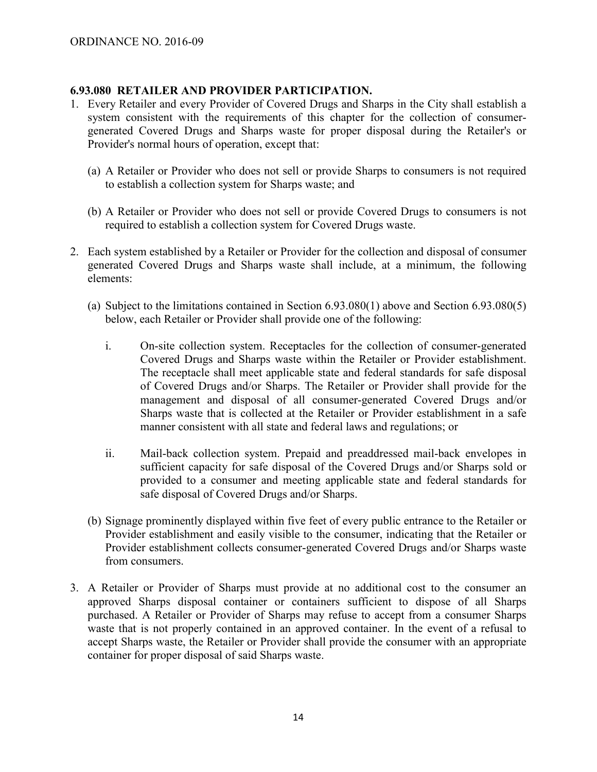### **6.93.080 RETAILER AND PROVIDER PARTICIPATION.**

- 1. Every Retailer and every Provider of Covered Drugs and Sharps in the City shall establish a system consistent with the requirements of this chapter for the collection of consumergenerated Covered Drugs and Sharps waste for proper disposal during the Retailer's or Provider's normal hours of operation, except that:
	- (a) A Retailer or Provider who does not sell or provide Sharps to consumers is not required to establish a collection system for Sharps waste; and
	- (b) A Retailer or Provider who does not sell or provide Covered Drugs to consumers is not required to establish a collection system for Covered Drugs waste.
- 2. Each system established by a Retailer or Provider for the collection and disposal of consumer generated Covered Drugs and Sharps waste shall include, at a minimum, the following elements:
	- (a) Subject to the limitations contained in Section 6.93.080(1) above and Section 6.93.080(5) below, each Retailer or Provider shall provide one of the following:
		- i. On-site collection system. Receptacles for the collection of consumer-generated Covered Drugs and Sharps waste within the Retailer or Provider establishment. The receptacle shall meet applicable state and federal standards for safe disposal of Covered Drugs and/or Sharps. The Retailer or Provider shall provide for the management and disposal of all consumer-generated Covered Drugs and/or Sharps waste that is collected at the Retailer or Provider establishment in a safe manner consistent with all state and federal laws and regulations; or
		- ii. Mail-back collection system. Prepaid and preaddressed mail-back envelopes in sufficient capacity for safe disposal of the Covered Drugs and/or Sharps sold or provided to a consumer and meeting applicable state and federal standards for safe disposal of Covered Drugs and/or Sharps.
	- (b) Signage prominently displayed within five feet of every public entrance to the Retailer or Provider establishment and easily visible to the consumer, indicating that the Retailer or Provider establishment collects consumer-generated Covered Drugs and/or Sharps waste from consumers.
- 3. A Retailer or Provider of Sharps must provide at no additional cost to the consumer an approved Sharps disposal container or containers sufficient to dispose of all Sharps purchased. A Retailer or Provider of Sharps may refuse to accept from a consumer Sharps waste that is not properly contained in an approved container. In the event of a refusal to accept Sharps waste, the Retailer or Provider shall provide the consumer with an appropriate container for proper disposal of said Sharps waste.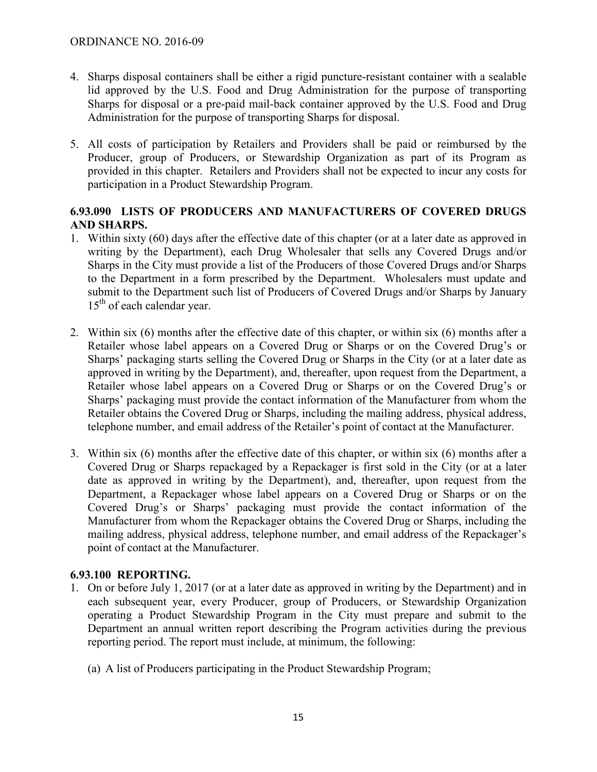- 4. Sharps disposal containers shall be either a rigid puncture-resistant container with a sealable lid approved by the U.S. Food and Drug Administration for the purpose of transporting Sharps for disposal or a pre-paid mail-back container approved by the U.S. Food and Drug Administration for the purpose of transporting Sharps for disposal.
- 5. All costs of participation by Retailers and Providers shall be paid or reimbursed by the Producer, group of Producers, or Stewardship Organization as part of its Program as provided in this chapter. Retailers and Providers shall not be expected to incur any costs for participation in a Product Stewardship Program.

# **6.93.090 LISTS OF PRODUCERS AND MANUFACTURERS OF COVERED DRUGS AND SHARPS.**

- 1. Within sixty (60) days after the effective date of this chapter (or at a later date as approved in writing by the Department), each Drug Wholesaler that sells any Covered Drugs and/or Sharps in the City must provide a list of the Producers of those Covered Drugs and/or Sharps to the Department in a form prescribed by the Department. Wholesalers must update and submit to the Department such list of Producers of Covered Drugs and/or Sharps by January  $15<sup>th</sup>$  of each calendar year.
- 2. Within six (6) months after the effective date of this chapter, or within six (6) months after a Retailer whose label appears on a Covered Drug or Sharps or on the Covered Drug's or Sharps' packaging starts selling the Covered Drug or Sharps in the City (or at a later date as approved in writing by the Department), and, thereafter, upon request from the Department, a Retailer whose label appears on a Covered Drug or Sharps or on the Covered Drug's or Sharps' packaging must provide the contact information of the Manufacturer from whom the Retailer obtains the Covered Drug or Sharps, including the mailing address, physical address, telephone number, and email address of the Retailer's point of contact at the Manufacturer.
- 3. Within six (6) months after the effective date of this chapter, or within six (6) months after a Covered Drug or Sharps repackaged by a Repackager is first sold in the City (or at a later date as approved in writing by the Department), and, thereafter, upon request from the Department, a Repackager whose label appears on a Covered Drug or Sharps or on the Covered Drug's or Sharps' packaging must provide the contact information of the Manufacturer from whom the Repackager obtains the Covered Drug or Sharps, including the mailing address, physical address, telephone number, and email address of the Repackager's point of contact at the Manufacturer.

# **6.93.100 REPORTING.**

- 1. On or before July 1, 2017 (or at a later date as approved in writing by the Department) and in each subsequent year, every Producer, group of Producers, or Stewardship Organization operating a Product Stewardship Program in the City must prepare and submit to the Department an annual written report describing the Program activities during the previous reporting period. The report must include, at minimum, the following:
	- (a) A list of Producers participating in the Product Stewardship Program;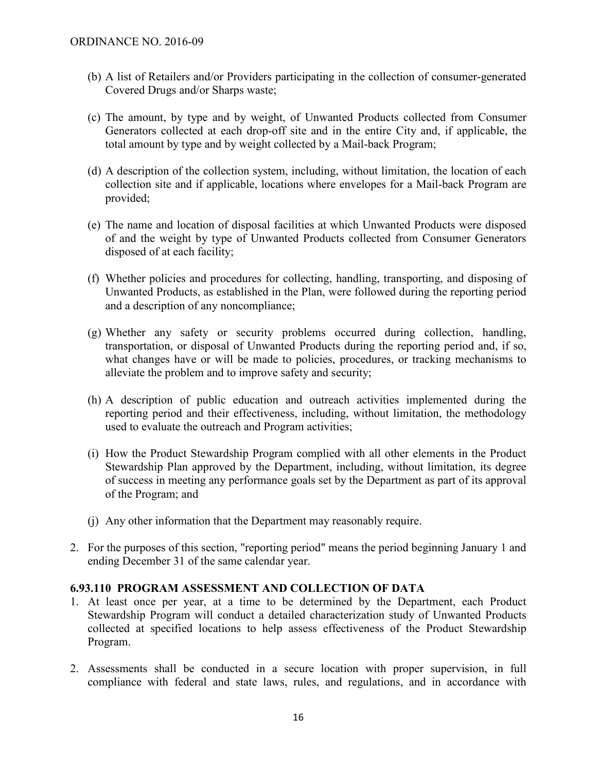- (b) A list of Retailers and/or Providers participating in the collection of consumer-generated Covered Drugs and/or Sharps waste;
- (c) The amount, by type and by weight, of Unwanted Products collected from Consumer Generators collected at each drop-off site and in the entire City and, if applicable, the total amount by type and by weight collected by a Mail-back Program;
- (d) A description of the collection system, including, without limitation, the location of each collection site and if applicable, locations where envelopes for a Mail-back Program are provided;
- (e) The name and location of disposal facilities at which Unwanted Products were disposed of and the weight by type of Unwanted Products collected from Consumer Generators disposed of at each facility;
- (f) Whether policies and procedures for collecting, handling, transporting, and disposing of Unwanted Products, as established in the Plan, were followed during the reporting period and a description of any noncompliance;
- (g) Whether any safety or security problems occurred during collection, handling, transportation, or disposal of Unwanted Products during the reporting period and, if so, what changes have or will be made to policies, procedures, or tracking mechanisms to alleviate the problem and to improve safety and security;
- (h) A description of public education and outreach activities implemented during the reporting period and their effectiveness, including, without limitation, the methodology used to evaluate the outreach and Program activities;
- (i) How the Product Stewardship Program complied with all other elements in the Product Stewardship Plan approved by the Department, including, without limitation, its degree of success in meeting any performance goals set by the Department as part of its approval of the Program; and
- (j) Any other information that the Department may reasonably require.
- 2. For the purposes of this section, "reporting period" means the period beginning January 1 and ending December 31 of the same calendar year.

#### **6.93.110 PROGRAM ASSESSMENT AND COLLECTION OF DATA**

- 1. At least once per year, at a time to be determined by the Department, each Product Stewardship Program will conduct a detailed characterization study of Unwanted Products collected at specified locations to help assess effectiveness of the Product Stewardship Program.
- 2. Assessments shall be conducted in a secure location with proper supervision, in full compliance with federal and state laws, rules, and regulations, and in accordance with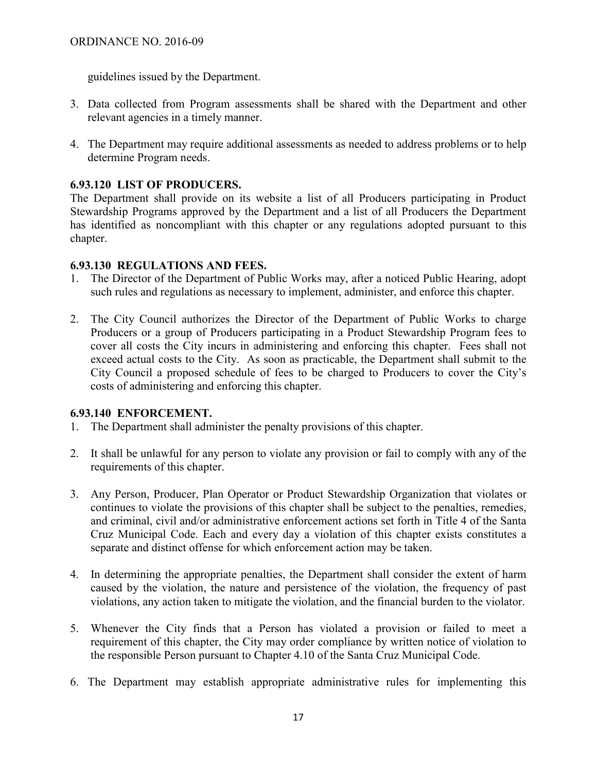guidelines issued by the Department.

- 3. Data collected from Program assessments shall be shared with the Department and other relevant agencies in a timely manner.
- 4. The Department may require additional assessments as needed to address problems or to help determine Program needs.

### **6.93.120 LIST OF PRODUCERS.**

The Department shall provide on its website a list of all Producers participating in Product Stewardship Programs approved by the Department and a list of all Producers the Department has identified as noncompliant with this chapter or any regulations adopted pursuant to this chapter.

### **6.93.130 REGULATIONS AND FEES.**

- 1. The Director of the Department of Public Works may, after a noticed Public Hearing, adopt such rules and regulations as necessary to implement, administer, and enforce this chapter.
- 2. The City Council authorizes the Director of the Department of Public Works to charge Producers or a group of Producers participating in a Product Stewardship Program fees to cover all costs the City incurs in administering and enforcing this chapter. Fees shall not exceed actual costs to the City. As soon as practicable, the Department shall submit to the City Council a proposed schedule of fees to be charged to Producers to cover the City's costs of administering and enforcing this chapter.

## **6.93.140 ENFORCEMENT.**

- 1. The Department shall administer the penalty provisions of this chapter.
- 2. It shall be unlawful for any person to violate any provision or fail to comply with any of the requirements of this chapter.
- 3. Any Person, Producer, Plan Operator or Product Stewardship Organization that violates or continues to violate the provisions of this chapter shall be subject to the penalties, remedies, and criminal, civil and/or administrative enforcement actions set forth in Title 4 of the Santa Cruz Municipal Code. Each and every day a violation of this chapter exists constitutes a separate and distinct offense for which enforcement action may be taken.
- 4. In determining the appropriate penalties, the Department shall consider the extent of harm caused by the violation, the nature and persistence of the violation, the frequency of past violations, any action taken to mitigate the violation, and the financial burden to the violator.
- 5. Whenever the City finds that a Person has violated a provision or failed to meet a requirement of this chapter, the City may order compliance by written notice of violation to the responsible Person pursuant to Chapter 4.10 of the Santa Cruz Municipal Code.
- 6. The Department may establish appropriate administrative rules for implementing this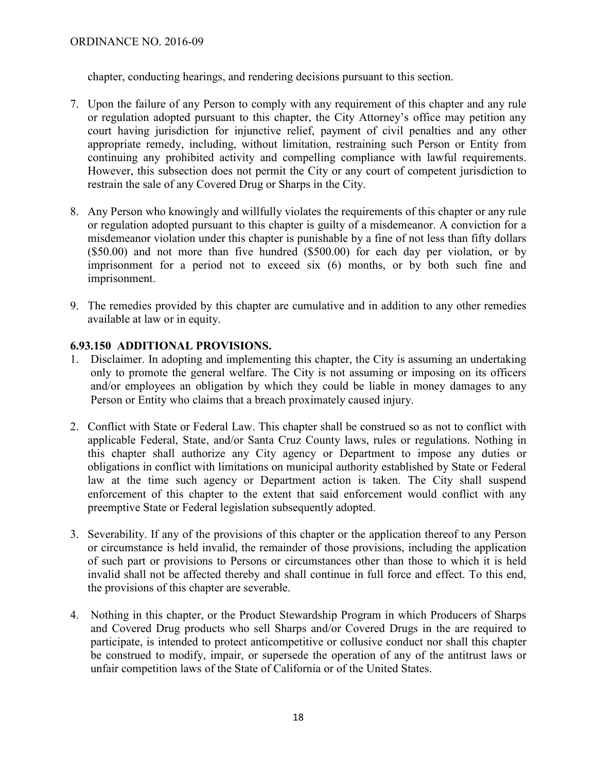chapter, conducting hearings, and rendering decisions pursuant to this section.

- 7. Upon the failure of any Person to comply with any requirement of this chapter and any rule or regulation adopted pursuant to this chapter, the City Attorney's office may petition any court having jurisdiction for injunctive relief, payment of civil penalties and any other appropriate remedy, including, without limitation, restraining such Person or Entity from continuing any prohibited activity and compelling compliance with lawful requirements. However, this subsection does not permit the City or any court of competent jurisdiction to restrain the sale of any Covered Drug or Sharps in the City.
- 8. Any Person who knowingly and willfully violates the requirements of this chapter or any rule or regulation adopted pursuant to this chapter is guilty of a misdemeanor. A conviction for a misdemeanor violation under this chapter is punishable by a fine of not less than fifty dollars (\$50.00) and not more than five hundred (\$500.00) for each day per violation, or by imprisonment for a period not to exceed six (6) months, or by both such fine and imprisonment.
- 9. The remedies provided by this chapter are cumulative and in addition to any other remedies available at law or in equity.

## **6.93.150 ADDITIONAL PROVISIONS.**

- 1. Disclaimer. In adopting and implementing this chapter, the City is assuming an undertaking only to promote the general welfare. The City is not assuming or imposing on its officers and/or employees an obligation by which they could be liable in money damages to any Person or Entity who claims that a breach proximately caused injury.
- 2. Conflict with State or Federal Law. This chapter shall be construed so as not to conflict with applicable Federal, State, and/or Santa Cruz County laws, rules or regulations. Nothing in this chapter shall authorize any City agency or Department to impose any duties or obligations in conflict with limitations on municipal authority established by State or Federal law at the time such agency or Department action is taken. The City shall suspend enforcement of this chapter to the extent that said enforcement would conflict with any preemptive State or Federal legislation subsequently adopted.
- 3. Severability. If any of the provisions of this chapter or the application thereof to any Person or circumstance is held invalid, the remainder of those provisions, including the application of such part or provisions to Persons or circumstances other than those to which it is held invalid shall not be affected thereby and shall continue in full force and effect. To this end, the provisions of this chapter are severable.
- 4. Nothing in this chapter, or the Product Stewardship Program in which Producers of Sharps and Covered Drug products who sell Sharps and/or Covered Drugs in the are required to participate, is intended to protect anticompetitive or collusive conduct nor shall this chapter be construed to modify, impair, or supersede the operation of any of the antitrust laws or unfair competition laws of the State of California or of the United States.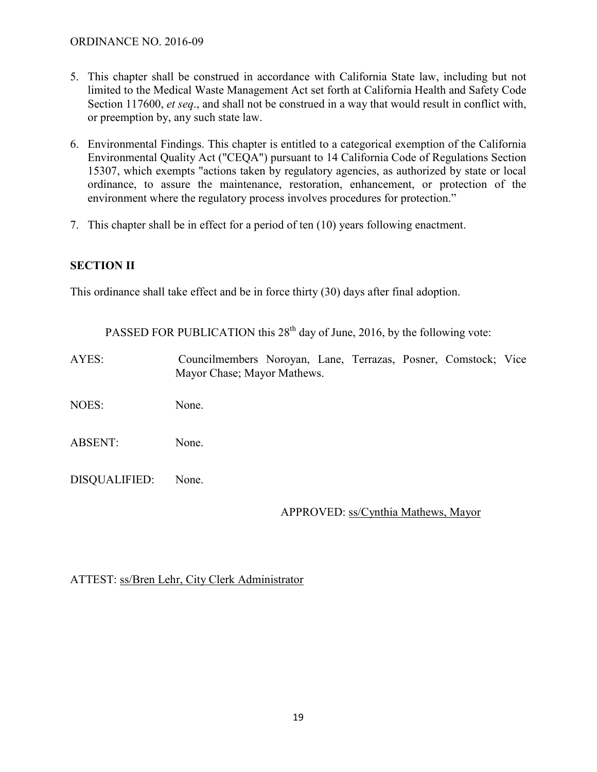### ORDINANCE NO. 2016-09

- 5. This chapter shall be construed in accordance with California State law, including but not limited to the Medical Waste Management Act set forth at California Health and Safety Code Section 117600, *et seq*., and shall not be construed in a way that would result in conflict with, or preemption by, any such state law.
- 6. Environmental Findings. This chapter is entitled to a categorical exemption of the California Environmental Quality Act ("CEQA") pursuant to 14 California Code of Regulations Section 15307, which exempts "actions taken by regulatory agencies, as authorized by state or local ordinance, to assure the maintenance, restoration, enhancement, or protection of the environment where the regulatory process involves procedures for protection."
- 7. This chapter shall be in effect for a period of ten (10) years following enactment.

## **SECTION II**

This ordinance shall take effect and be in force thirty (30) days after final adoption.

PASSED FOR PUBLICATION this  $28<sup>th</sup>$  day of June, 2016, by the following vote:

AYES: Councilmembers Noroyan, Lane, Terrazas, Posner, Comstock; Vice Mayor Chase; Mayor Mathews.

NOES: None.

ABSENT: None.

DISQUALIFIED: None.

APPROVED: ss/Cynthia Mathews, Mayor

ATTEST: ss/Bren Lehr, City Clerk Administrator